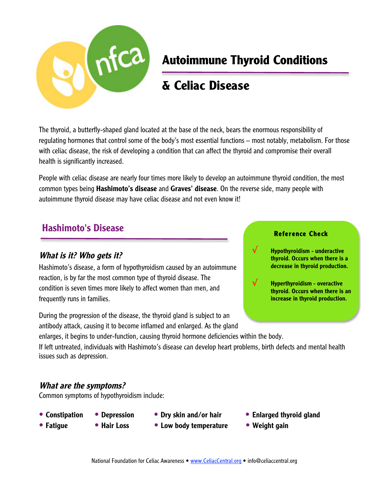

# **Autoimmune Thyroid Conditions**

# **& Celiac Disease**

The thyroid, a butterfly-shaped gland located at the base of the neck, bears the enormous responsibility of regulating hormones that control some of the body's most essential functions – most notably, metabolism. For those with celiac disease, the risk of developing a condition that can affect the thyroid and compromise their overall health is significantly increased.

People with celiac disease are nearly four times more likely to develop an autoimmune thyroid condition, the most common types being **Hashimoto's disease** and **Graves' disease**. On the reverse side, many people with autoimmune thyroid disease may have celiac disease and not even know it!

### Hashimoto's Disease

### What is it? Who gets it?

Hashimoto's disease, a form of hypothyroidism caused by an autoimmune reaction, is by far the most common type of thyroid disease. The condition is seven times more likely to affect women than men, and frequently runs in families.

During the progression of the disease, the thyroid gland is subject to an antibody attack, causing it to become inflamed and enlarged. As the gland

#### Reference Check

√ Hypothyroidism - underactive thyroid. Occurs when there is a decrease in thyroid production.



√ Hyperthyroidism - overactive thyroid. Occurs when there is an increase in thyroid production.

enlarges, it begins to under-function, causing thyroid hormone deficiencies within the body. If left untreated, individuals with Hashimoto's disease can develop heart problems, birth defects and mental health

### What are the symptoms?

issues such as depression.

Common symptoms of hypothyroidism include:

- -
- 
- 
- 
- Fatigue Hair Loss Low body temperature Weight gain
- Constipation Depression Dry skin and/or hair Enlarged thyroid gland
	-
	- National Foundation for Celiac Awareness www.CeliacCentral.org info@celiaccentral.org